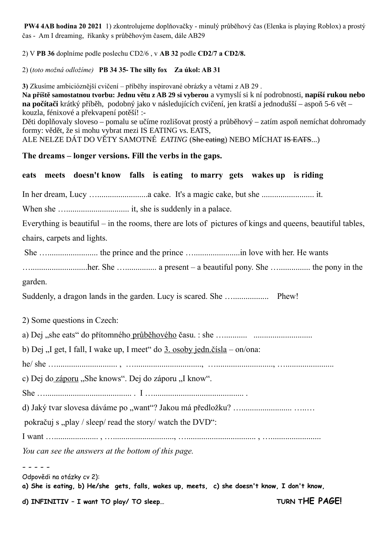**PW4 4AB hodina 20 2021** 1) zkontrolujeme doplňovačky - minulý průběhový čas (Elenka is playing Roblox) a prostý čas - Am I dreaming, říkanky s průběhovým časem, dále AB29

2) V **PB 36** doplníme podle poslechu CD2/6 , v **AB 32** podle **CD2/7 a CD2/8.** 

2) (*toto možná odložíme)* **PB 34 35- The silly fox Za úkol: AB 31**

**3)** Zkusíme ambicióznější cvičení – příběhy inspirované obrázky a větami z AB 29 .

**Na příště samostatnou tvorbu: Jednu větu z AB 29 si vyberou** a vymyslí si k ní podrobnosti, **napíší rukou nebo na počítači** krátký příběh, podobný jako v následujících cvičení, jen kratší a jednodušší – aspoň 5-6 vět – kouzla, fénixové a překvapení potěší! :-

Děti doplňovaly sloveso – pomalu se učíme rozlišovat prostý a průběhový – zatím aspoň nemíchat dohromady formy: vědět, že si mohu vybrat mezi IS EATING vs. EATS,

ALE NELZE DÁT DO VĚTY SAMOTNÉ *EATING* (She eating) NEBO MÍCHAT IS EATS...)

## **The dreams – longer versions. Fill the verbs in the gaps.**

## **eats meets doesn't know falls is eating to marry gets wakes up is riding**

In her dream, Lucy …........................a cake. It's a magic cake, but she ......................... it.

When she ….............................. it, she is suddenly in a palace.

Everything is beautiful – in the rooms, there are lots of pictures of kings and queens, beautiful tables, chairs, carpets and lights.

She …........................ the prince and the prince …......................in love with her. He wants

…...........................her. She …............... a present – a beautiful pony. She …............... the pony in the garden.

Suddenly, a dragon lands in the garden. Lucy is scared. She …................. Phew!

2) Some questions in Czech:

a) Dej "she eats" do přítomného průběhového času. : she …........... ............................

b) Dej "I get, I fall, I wake up, I meet" do  $3.$  osoby jedn.čísla – on/ona:

he/ she …............................. , …................................, …..........................., ….......................

c) Dej do záporu "She knows". Dej do záporu "I know".

She …......................................... . I …........................................... .

d) Jaký tvar slovesa dáváme po "want"? Jakou má předložku? …........................ …..…

pokračuj s "play / sleep/ read the story/ watch the DVD":

I want …..................... , …............................., …................................. , …........................

*You can see the answers at the bottom of this page.*

- - - - -

Odpovědi na otázky cv 2):

**a) She is eating, b) He/she gets, falls, wakes up, meets, c) she doesn't know, I don't know,** 

d) INFINITIV – I want TO play/ TO sleep... TURN THE PAGE!